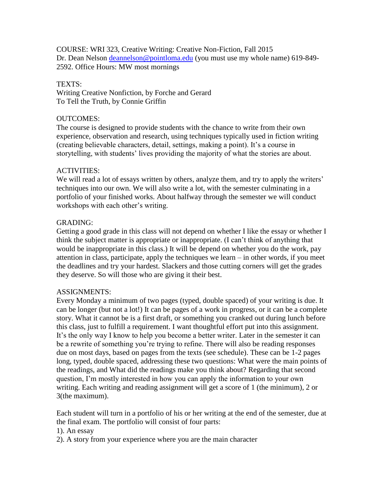COURSE: WRI 323, Creative Writing: Creative Non-Fiction, Fall 2015 Dr. Dean Nelson [deannelson@pointloma.edu](mailto:deannelson@pointloma.edu) (you must use my whole name) 619-849-2592. Office Hours: MW most mornings

## TEXTS:

Writing Creative Nonfiction, by Forche and Gerard To Tell the Truth, by Connie Griffin

## OUTCOMES:

The course is designed to provide students with the chance to write from their own experience, observation and research, using techniques typically used in fiction writing (creating believable characters, detail, settings, making a point). It's a course in storytelling, with students' lives providing the majority of what the stories are about.

# ACTIVITIES:

We will read a lot of essays written by others, analyze them, and try to apply the writers' techniques into our own. We will also write a lot, with the semester culminating in a portfolio of your finished works. About halfway through the semester we will conduct workshops with each other's writing.

### GRADING:

Getting a good grade in this class will not depend on whether I like the essay or whether I think the subject matter is appropriate or inappropriate. (I can't think of anything that would be inappropriate in this class.) It will be depend on whether you do the work, pay attention in class, participate, apply the techniques we learn – in other words, if you meet the deadlines and try your hardest. Slackers and those cutting corners will get the grades they deserve. So will those who are giving it their best.

# ASSIGNMENTS:

Every Monday a minimum of two pages (typed, double spaced) of your writing is due. It can be longer (but not a lot!) It can be pages of a work in progress, or it can be a complete story. What it cannot be is a first draft, or something you cranked out during lunch before this class, just to fulfill a requirement. I want thoughtful effort put into this assignment. It's the only way I know to help you become a better writer. Later in the semester it can be a rewrite of something you're trying to refine. There will also be reading responses due on most days, based on pages from the texts (see schedule). These can be 1-2 pages long, typed, double spaced, addressing these two questions: What were the main points of the readings, and What did the readings make you think about? Regarding that second question, I'm mostly interested in how you can apply the information to your own writing. Each writing and reading assignment will get a score of 1 (the minimum), 2 or 3(the maximum).

Each student will turn in a portfolio of his or her writing at the end of the semester, due at the final exam. The portfolio will consist of four parts:

- 1). An essay
- 2). A story from your experience where you are the main character